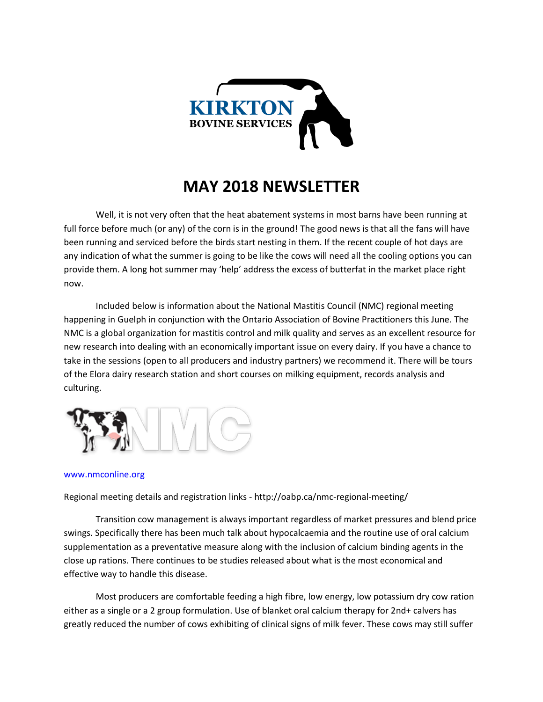

## **MAY 2018 NEWSLETTER**

Well, it is not very often that the heat abatement systems in most barns have been running at full force before much (or any) of the corn is in the ground! The good news is that all the fans will have been running and serviced before the birds start nesting in them. If the recent couple of hot days are any indication of what the summer is going to be like the cows will need all the cooling options you can provide them. A long hot summer may 'help' address the excess of butterfat in the market place right now.

Included below is information about the National Mastitis Council (NMC) regional meeting happening in Guelph in conjunction with the Ontario Association of Bovine Practitioners this June. The NMC is a global organization for mastitis control and milk quality and serves as an excellent resource for new research into dealing with an economically important issue on every dairy. If you have a chance to take in the sessions (open to all producers and industry partners) we recommend it. There will be tours of the Elora dairy research station and short courses on milking equipment, records analysis and culturing.



## [www.nmconline.org](http://www.nmconline.org/)

Regional meeting details and registration links - http://oabp.ca/nmc-regional-meeting/

Transition cow management is always important regardless of market pressures and blend price swings. Specifically there has been much talk about hypocalcaemia and the routine use of oral calcium supplementation as a preventative measure along with the inclusion of calcium binding agents in the close up rations. There continues to be studies released about what is the most economical and effective way to handle this disease.

Most producers are comfortable feeding a high fibre, low energy, low potassium dry cow ration either as a single or a 2 group formulation. Use of blanket oral calcium therapy for 2nd+ calvers has greatly reduced the number of cows exhibiting of clinical signs of milk fever. These cows may still suffer